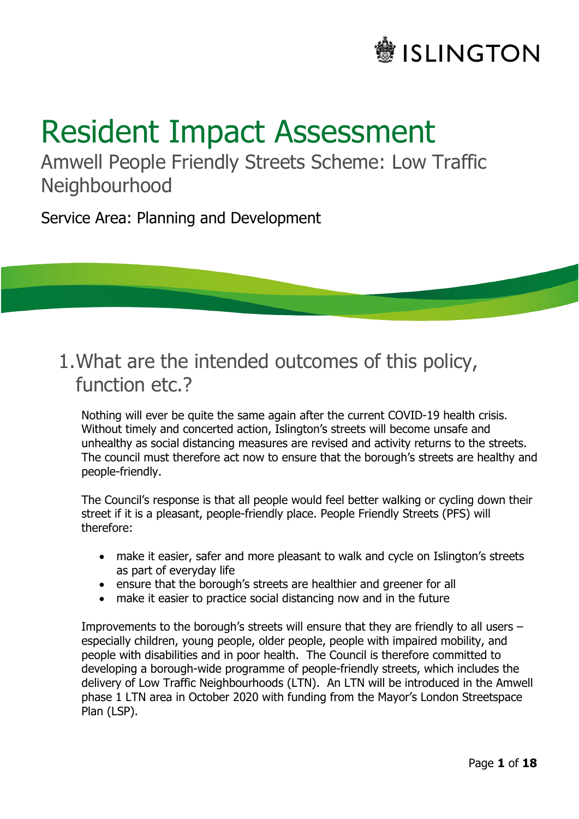# **SLINGTON**

# Resident Impact Assessment

Amwell People Friendly Streets Scheme: Low Traffic **Neighbourhood** 

Service Area: Planning and Development

# 1.What are the intended outcomes of this policy, function etc.?

Nothing will ever be quite the same again after the current COVID-19 health crisis. Without timely and concerted action, Islington's streets will become unsafe and unhealthy as social distancing measures are revised and activity returns to the streets. The council must therefore act now to ensure that the borough's streets are healthy and people-friendly.

The Council's response is that all people would feel better walking or cycling down their street if it is a pleasant, people-friendly place. People Friendly Streets (PFS) will therefore:

- make it easier, safer and more pleasant to walk and cycle on Islington's streets as part of everyday life
- ensure that the borough's streets are healthier and greener for all
- make it easier to practice social distancing now and in the future

Improvements to the borough's streets will ensure that they are friendly to all users – especially children, young people, older people, people with impaired mobility, and people with disabilities and in poor health. The Council is therefore committed to developing a borough-wide programme of people-friendly streets, which includes the delivery of Low Traffic Neighbourhoods (LTN). An LTN will be introduced in the Amwell phase 1 LTN area in October 2020 with funding from the Mayor's London Streetspace Plan (LSP).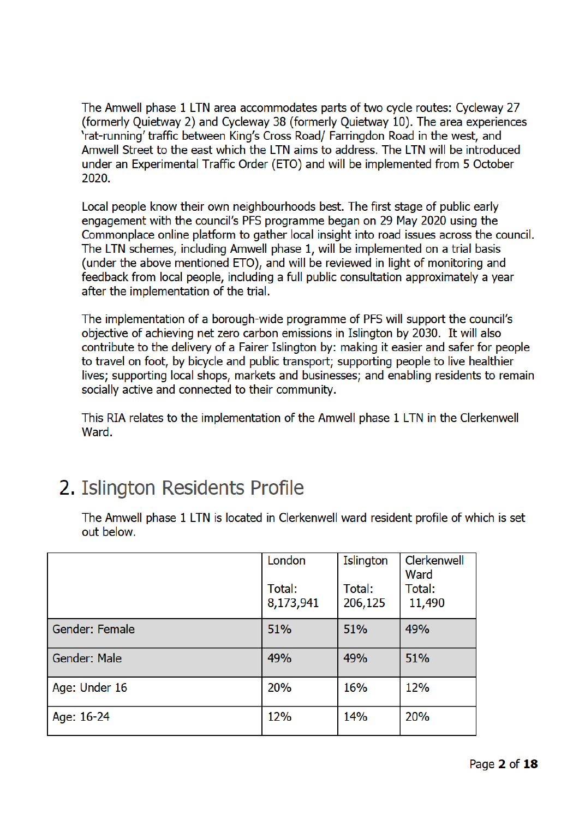The Amwell phase 1 LTN area accommodates parts of two cycle routes: Cycleway 27 (formerly Quietway 2) and Cycleway 38 (formerly Quietway 10). The area experiences 'rat-running' traffic between King's Cross Road/ Farringdon Road in the west, and Amwell Street to the east which the LTN aims to address. The LTN will be introduced under an Experimental Traffic Order (ETO) and will be implemented from 5 October 2020

Local people know their own neighbourhoods best. The first stage of public early engagement with the council's PFS programme began on 29 May 2020 using the Commonplace online platform to gather local insight into road issues across the council. The LTN schemes, including Amwell phase 1, will be implemented on a trial basis (under the above mentioned ETO), and will be reviewed in light of monitoring and feedback from local people, including a full public consultation approximately a year after the implementation of the trial.

The implementation of a borough-wide programme of PFS will support the council's objective of achieving net zero carbon emissions in Islington by 2030. It will also contribute to the delivery of a Fairer Islington by: making it easier and safer for people to travel on foot, by bicycle and public transport; supporting people to live healthier lives; supporting local shops, markets and businesses; and enabling residents to remain socially active and connected to their community.

This RIA relates to the implementation of the Amwell phase 1 LTN in the Clerkenwell Ward.

# 2. Islington Residents Profile

The Amwell phase 1 LTN is located in Clerkenwell ward resident profile of which is set out below.

|                | London<br>Total:<br>8,173,941 | Islington<br>Total:<br>206,125 | Clerkenwell<br>Ward<br>Total:<br>11,490 |
|----------------|-------------------------------|--------------------------------|-----------------------------------------|
| Gender: Female | 51%                           | 51%                            | 49%                                     |
| Gender: Male   | 49%                           | 49%                            | 51%                                     |
| Age: Under 16  | 20%                           | 16%                            | 12%                                     |
| Age: 16-24     | 12%                           | <b>14%</b>                     | <b>20%</b>                              |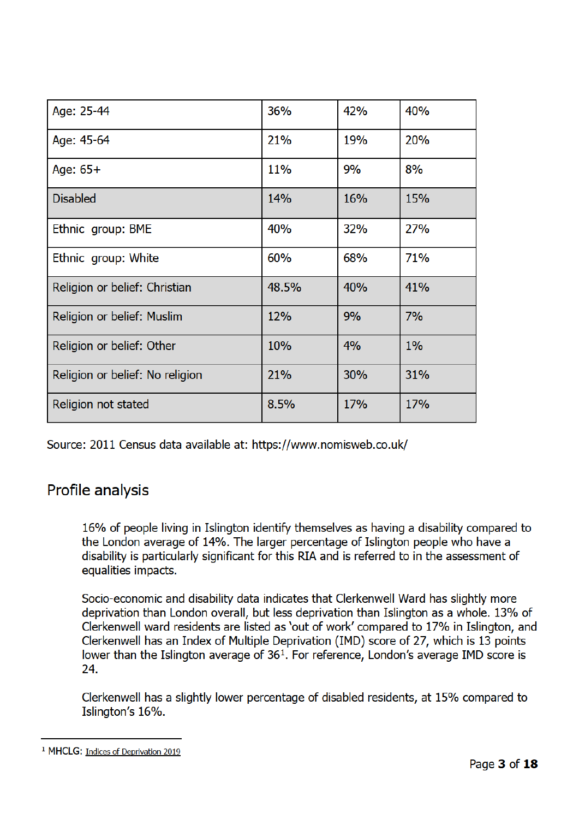| Age: 25-44                      | 36%   | 42%        | 40% |
|---------------------------------|-------|------------|-----|
| Age: 45-64                      | 21%   | 19%        | 20% |
| Age: $65+$                      | 11%   | 9%         | 8%  |
| <b>Disabled</b>                 | 14%   | 16%        | 15% |
| Ethnic group: BME               | 40%   | 32%        | 27% |
| Ethnic group: White             | 60%   | 68%        | 71% |
| Religion or belief: Christian   | 48.5% | 40%        | 41% |
| Religion or belief: Muslim      | 12%   | 9%         | 7%  |
| Religion or belief: Other       | 10%   | 4%         | 1%  |
| Religion or belief: No religion | 21%   | 30%        | 31% |
| Religion not stated             | 8.5%  | <b>17%</b> | 17% |

Source: 2011 Census data available at: https://www.nomisweb.co.uk/

# **Profile analysis**

16% of people living in Islington identify themselves as having a disability compared to the London average of 14%. The larger percentage of Islington people who have a disability is particularly significant for this RIA and is referred to in the assessment of equalities impacts.

Socio-economic and disability data indicates that Clerkenwell Ward has slightly more deprivation than London overall, but less deprivation than Islington as a whole. 13% of Clerkenwell ward residents are listed as 'out of work' compared to 17% in Islington, and Clerkenwell has an Index of Multiple Deprivation (IMD) score of 27, which is 13 points lower than the Islington average of 36<sup>1</sup>. For reference, London's average IMD score is  $24$ 

Clerkenwell has a slightly lower percentage of disabled residents, at 15% compared to Islington's 16%.

<sup>&</sup>lt;sup>1</sup> MHCLG: Indices of Deprivation 2019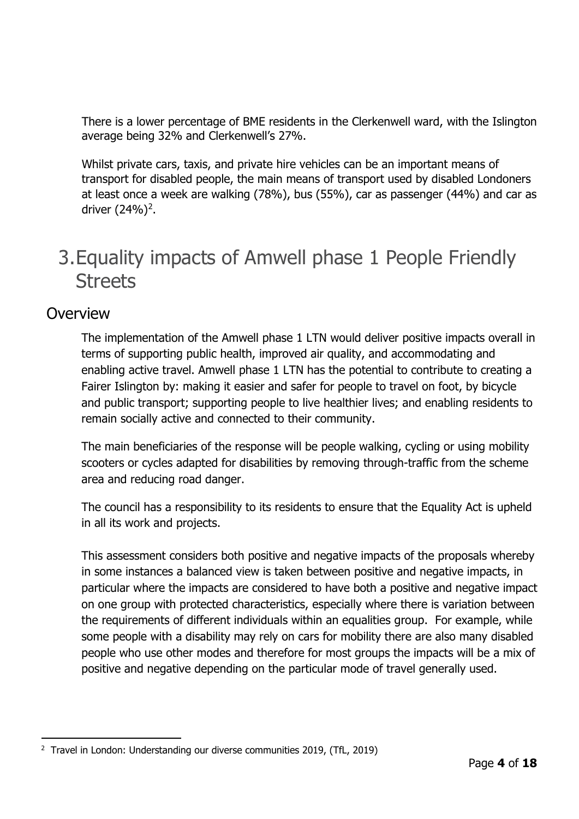There is a lower percentage of BME residents in the Clerkenwell ward, with the Islington average being 32% and Clerkenwell's 27%.

Whilst private cars, taxis, and private hire vehicles can be an important means of transport for disabled people, the main means of transport used by disabled Londoners at least once a week are walking (78%), bus (55%), car as passenger (44%) and car as driver  $(24%)<sup>2</sup>$ .

# 3.Equality impacts of Amwell phase 1 People Friendly **Streets**

#### **Overview**

The implementation of the Amwell phase 1 LTN would deliver positive impacts overall in terms of supporting public health, improved air quality, and accommodating and enabling active travel. Amwell phase 1 LTN has the potential to contribute to creating a Fairer Islington by: making it easier and safer for people to travel on foot, by bicycle and public transport; supporting people to live healthier lives; and enabling residents to remain socially active and connected to their community.

The main beneficiaries of the response will be people walking, cycling or using mobility scooters or cycles adapted for disabilities by removing through-traffic from the scheme area and reducing road danger.

The council has a responsibility to its residents to ensure that the Equality Act is upheld in all its work and projects.

This assessment considers both positive and negative impacts of the proposals whereby in some instances a balanced view is taken between positive and negative impacts, in particular where the impacts are considered to have both a positive and negative impact on one group with protected characteristics, especially where there is variation between the requirements of different individuals within an equalities group. For example, while some people with a disability may rely on cars for mobility there are also many disabled people who use other modes and therefore for most groups the impacts will be a mix of positive and negative depending on the particular mode of travel generally used.

ł <sup>2</sup> Travel in London: Understanding our diverse communities 2019, (TfL, 2019)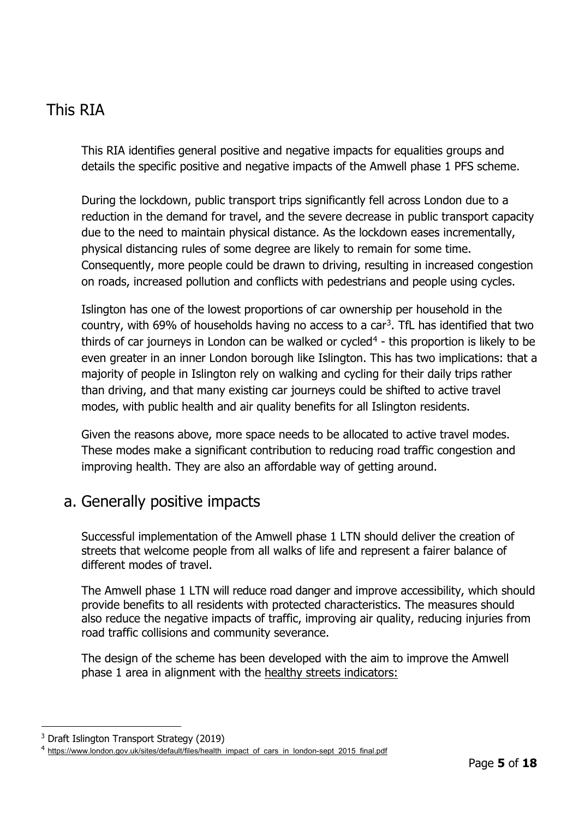# This RIA

This RIA identifies general positive and negative impacts for equalities groups and details the specific positive and negative impacts of the Amwell phase 1 PFS scheme.

During the lockdown, public transport trips significantly fell across London due to a reduction in the demand for travel, and the severe decrease in public transport capacity due to the need to maintain physical distance. As the lockdown eases incrementally, physical distancing rules of some degree are likely to remain for some time. Consequently, more people could be drawn to driving, resulting in increased congestion on roads, increased pollution and conflicts with pedestrians and people using cycles.

Islington has one of the lowest proportions of car ownership per household in the country, with 69% of households having no access to a car<sup>3</sup>. TfL has identified that two thirds of car journeys in London can be walked or cycled<sup>4</sup> - this proportion is likely to be even greater in an inner London borough like Islington. This has two implications: that a majority of people in Islington rely on walking and cycling for their daily trips rather than driving, and that many existing car journeys could be shifted to active travel modes, with public health and air quality benefits for all Islington residents.

Given the reasons above, more space needs to be allocated to active travel modes. These modes make a significant contribution to reducing road traffic congestion and improving health. They are also an affordable way of getting around.

#### a. Generally positive impacts

Successful implementation of the Amwell phase 1 LTN should deliver the creation of streets that welcome people from all walks of life and represent a fairer balance of different modes of travel.

The Amwell phase 1 LTN will reduce road danger and improve accessibility, which should provide benefits to all residents with protected characteristics. The measures should also reduce the negative impacts of traffic, improving air quality, reducing injuries from road traffic collisions and community severance.

The design of the scheme has been developed with the aim to improve the Amwell phase 1 area in alignment with the healthy streets indicators:

i<br>I <sup>3</sup> Draft Islington Transport Strategy (2019)

<sup>4</sup> https://www.london.gov.uk/sites/default/files/health impact of cars in london-sept 2015 final.pdf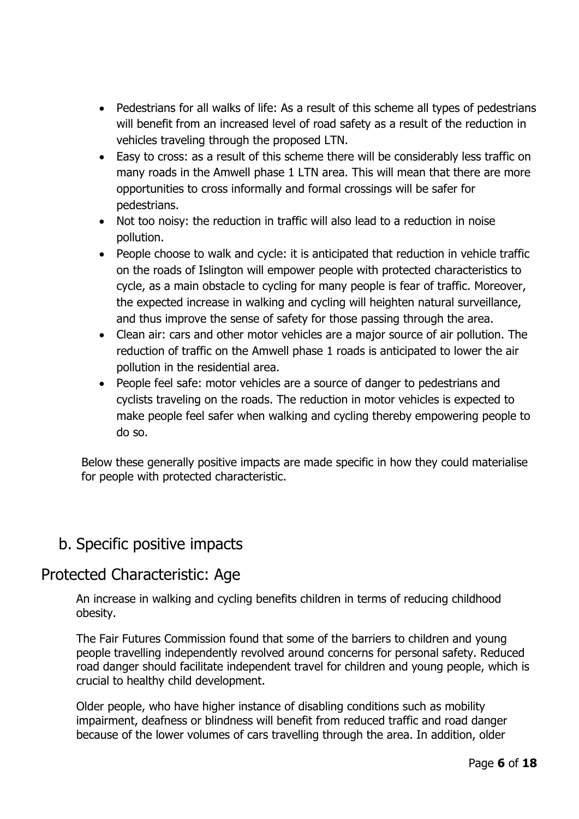- Pedestrians for all walks of life: As a result of this scheme all types of pedestrians will benefit from an increased level of road safety as a result of the reduction in vehicles traveling through the proposed LTN.
- Easy to cross: as a result of this scheme there will be considerably less traffic on many roads in the Amwell phase 1 LTN area. This will mean that there are more opportunities to cross informally and formal crossings will be safer for pedestrians.
- Not too noisy: the reduction in traffic will also lead to a reduction in noise pollution.
- People choose to walk and cycle: it is anticipated that reduction in vehicle traffic on the roads of Islington will empower people with protected characteristics to cycle, as a main obstacle to cycling for many people is fear of traffic. Moreover, the expected increase in walking and cycling will heighten natural surveillance, and thus improve the sense of safety for those passing through the area.
- Clean air: cars and other motor vehicles are a major source of air pollution. The reduction of traffic on the Amwell phase 1 roads is anticipated to lower the air pollution in the residential area.
- People feel safe: motor vehicles are a source of danger to pedestrians and cyclists traveling on the roads. The reduction in motor vehicles is expected to make people feel safer when walking and cycling thereby empowering people to do so.

Below these generally positive impacts are made specific in how they could materialise for people with protected characteristic.

# b. Specific positive impacts

#### Protected Characteristic: Age

An increase in walking and cycling benefits children in terms of reducing childhood obesity.

The Fair Futures Commission found that some of the barriers to children and young people travelling independently revolved around concerns for personal safety. Reduced road danger should facilitate independent travel for children and young people, which is crucial to healthy child development.

Older people, who have higher instance of disabling conditions such as mobility impairment, deafness or blindness will benefit from reduced traffic and road danger because of the lower volumes of cars travelling through the area. In addition, older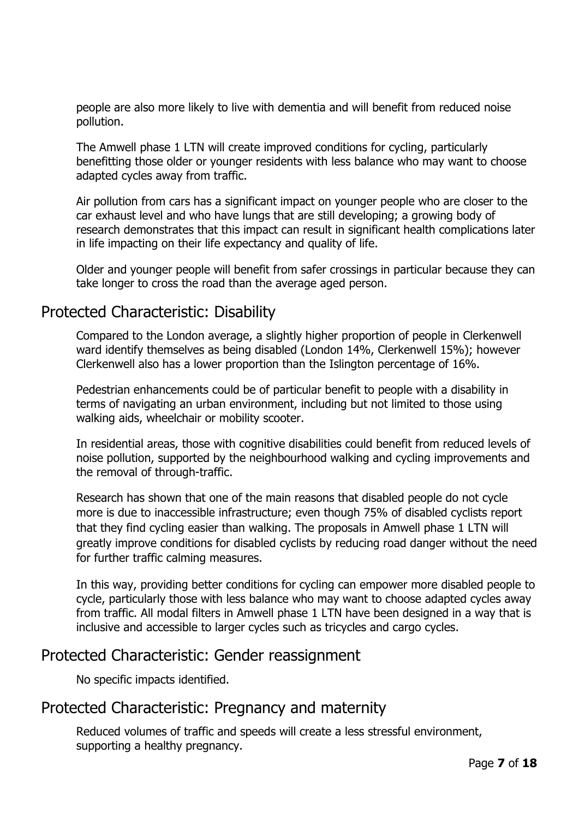people are also more likely to live with dementia and will benefit from reduced noise pollution.

The Amwell phase 1 LTN will create improved conditions for cycling, particularly benefitting those older or younger residents with less balance who may want to choose adapted cycles away from traffic.

Air pollution from cars has a significant impact on younger people who are closer to the car exhaust level and who have lungs that are still developing; a growing body of research demonstrates that this impact can result in significant health complications later in life impacting on their life expectancy and quality of life.

Older and younger people will benefit from safer crossings in particular because they can take longer to cross the road than the average aged person.

#### Protected Characteristic: Disability

Compared to the London average, a slightly higher proportion of people in Clerkenwell ward identify themselves as being disabled (London 14%, Clerkenwell 15%); however Clerkenwell also has a lower proportion than the Islington percentage of 16%.

Pedestrian enhancements could be of particular benefit to people with a disability in terms of navigating an urban environment, including but not limited to those using walking aids, wheelchair or mobility scooter.

In residential areas, those with cognitive disabilities could benefit from reduced levels of noise pollution, supported by the neighbourhood walking and cycling improvements and the removal of through-traffic.

Research has shown that one of the main reasons that disabled people do not cycle more is due to inaccessible infrastructure; even though 75% of disabled cyclists report that they find cycling easier than walking. The proposals in Amwell phase 1 LTN will greatly improve conditions for disabled cyclists by reducing road danger without the need for further traffic calming measures.

In this way, providing better conditions for cycling can empower more disabled people to cycle, particularly those with less balance who may want to choose adapted cycles away from traffic. All modal filters in Amwell phase 1 LTN have been designed in a way that is inclusive and accessible to larger cycles such as tricycles and cargo cycles.

#### Protected Characteristic: Gender reassignment

No specific impacts identified.

#### Protected Characteristic: Pregnancy and maternity

Reduced volumes of traffic and speeds will create a less stressful environment, supporting a healthy pregnancy.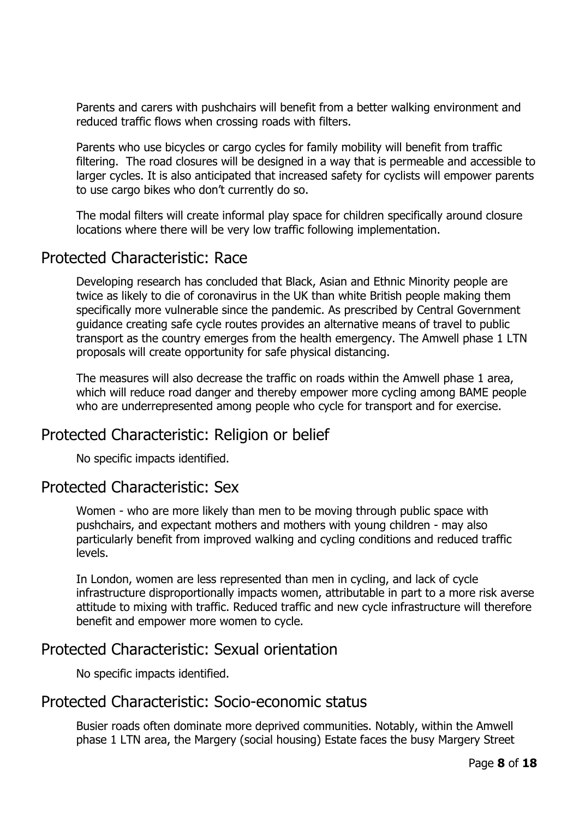Parents and carers with pushchairs will benefit from a better walking environment and reduced traffic flows when crossing roads with filters.

Parents who use bicycles or cargo cycles for family mobility will benefit from traffic filtering. The road closures will be designed in a way that is permeable and accessible to larger cycles. It is also anticipated that increased safety for cyclists will empower parents to use cargo bikes who don't currently do so.

The modal filters will create informal play space for children specifically around closure locations where there will be very low traffic following implementation.

#### Protected Characteristic: Race

Developing research has concluded that Black, Asian and Ethnic Minority people are twice as likely to die of coronavirus in the UK than white British people making them specifically more vulnerable since the pandemic. As prescribed by Central Government guidance creating safe cycle routes provides an alternative means of travel to public transport as the country emerges from the health emergency. The Amwell phase 1 LTN proposals will create opportunity for safe physical distancing.

The measures will also decrease the traffic on roads within the Amwell phase 1 area, which will reduce road danger and thereby empower more cycling among BAME people who are underrepresented among people who cycle for transport and for exercise.

# Protected Characteristic: Religion or belief

No specific impacts identified.

#### Protected Characteristic: Sex

Women - who are more likely than men to be moving through public space with pushchairs, and expectant mothers and mothers with young children - may also particularly benefit from improved walking and cycling conditions and reduced traffic levels.

In London, women are less represented than men in cycling, and lack of cycle infrastructure disproportionally impacts women, attributable in part to a more risk averse attitude to mixing with traffic. Reduced traffic and new cycle infrastructure will therefore benefit and empower more women to cycle.

#### Protected Characteristic: Sexual orientation

No specific impacts identified.

# Protected Characteristic: Socio-economic status

Busier roads often dominate more deprived communities. Notably, within the Amwell phase 1 LTN area, the Margery (social housing) Estate faces the busy Margery Street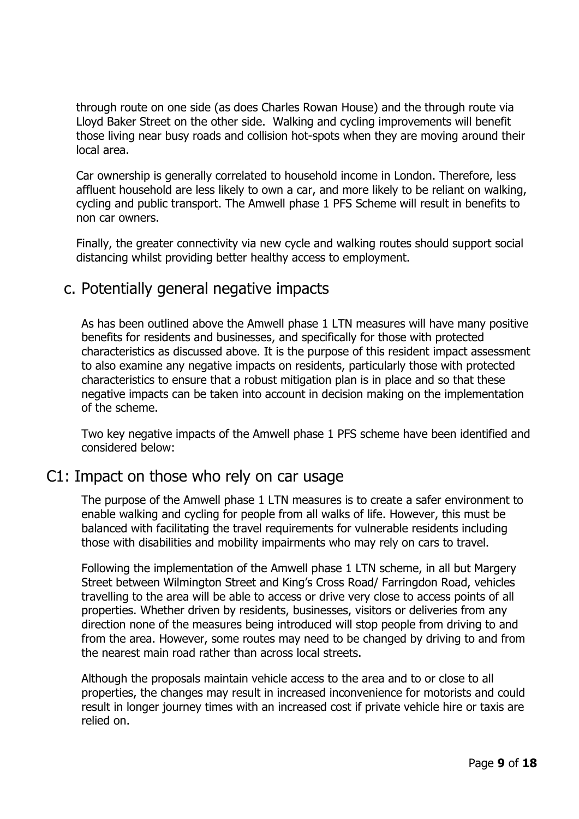through route on one side (as does Charles Rowan House) and the through route via Lloyd Baker Street on the other side. Walking and cycling improvements will benefit those living near busy roads and collision hot-spots when they are moving around their local area.

Car ownership is generally correlated to household income in London. Therefore, less affluent household are less likely to own a car, and more likely to be reliant on walking, cycling and public transport. The Amwell phase 1 PFS Scheme will result in benefits to non car owners.

Finally, the greater connectivity via new cycle and walking routes should support social distancing whilst providing better healthy access to employment.

#### c. Potentially general negative impacts

As has been outlined above the Amwell phase 1 LTN measures will have many positive benefits for residents and businesses, and specifically for those with protected characteristics as discussed above. It is the purpose of this resident impact assessment to also examine any negative impacts on residents, particularly those with protected characteristics to ensure that a robust mitigation plan is in place and so that these negative impacts can be taken into account in decision making on the implementation of the scheme.

Two key negative impacts of the Amwell phase 1 PFS scheme have been identified and considered below:

#### C1: Impact on those who rely on car usage

The purpose of the Amwell phase 1 LTN measures is to create a safer environment to enable walking and cycling for people from all walks of life. However, this must be balanced with facilitating the travel requirements for vulnerable residents including those with disabilities and mobility impairments who may rely on cars to travel.

Following the implementation of the Amwell phase 1 LTN scheme, in all but Margery Street between Wilmington Street and King's Cross Road/ Farringdon Road, vehicles travelling to the area will be able to access or drive very close to access points of all properties. Whether driven by residents, businesses, visitors or deliveries from any direction none of the measures being introduced will stop people from driving to and from the area. However, some routes may need to be changed by driving to and from the nearest main road rather than across local streets.

Although the proposals maintain vehicle access to the area and to or close to all properties, the changes may result in increased inconvenience for motorists and could result in longer journey times with an increased cost if private vehicle hire or taxis are relied on.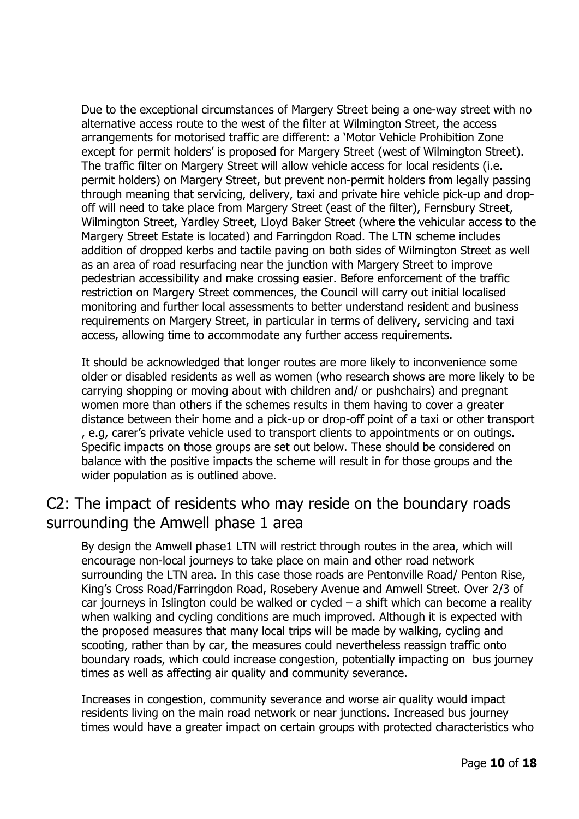Due to the exceptional circumstances of Margery Street being a one-way street with no alternative access route to the west of the filter at Wilmington Street, the access arrangements for motorised traffic are different: a 'Motor Vehicle Prohibition Zone except for permit holders' is proposed for Margery Street (west of Wilmington Street). The traffic filter on Margery Street will allow vehicle access for local residents (i.e. permit holders) on Margery Street, but prevent non-permit holders from legally passing through meaning that servicing, delivery, taxi and private hire vehicle pick-up and dropoff will need to take place from Margery Street (east of the filter), Fernsbury Street, Wilmington Street, Yardley Street, Lloyd Baker Street (where the vehicular access to the Margery Street Estate is located) and Farringdon Road. The LTN scheme includes addition of dropped kerbs and tactile paving on both sides of Wilmington Street as well as an area of road resurfacing near the junction with Margery Street to improve pedestrian accessibility and make crossing easier. Before enforcement of the traffic restriction on Margery Street commences, the Council will carry out initial localised monitoring and further local assessments to better understand resident and business requirements on Margery Street, in particular in terms of delivery, servicing and taxi access, allowing time to accommodate any further access requirements.

It should be acknowledged that longer routes are more likely to inconvenience some older or disabled residents as well as women (who research shows are more likely to be carrying shopping or moving about with children and/ or pushchairs) and pregnant women more than others if the schemes results in them having to cover a greater distance between their home and a pick-up or drop-off point of a taxi or other transport , e.g, carer's private vehicle used to transport clients to appointments or on outings. Specific impacts on those groups are set out below. These should be considered on balance with the positive impacts the scheme will result in for those groups and the wider population as is outlined above.

# C2: The impact of residents who may reside on the boundary roads surrounding the Amwell phase 1 area

By design the Amwell phase1 LTN will restrict through routes in the area, which will encourage non-local journeys to take place on main and other road network surrounding the LTN area. In this case those roads are Pentonville Road/ Penton Rise, King's Cross Road/Farringdon Road, Rosebery Avenue and Amwell Street. Over 2/3 of car journeys in Islington could be walked or cycled  $-$  a shift which can become a reality when walking and cycling conditions are much improved. Although it is expected with the proposed measures that many local trips will be made by walking, cycling and scooting, rather than by car, the measures could nevertheless reassign traffic onto boundary roads, which could increase congestion, potentially impacting on bus journey times as well as affecting air quality and community severance.

Increases in congestion, community severance and worse air quality would impact residents living on the main road network or near junctions. Increased bus journey times would have a greater impact on certain groups with protected characteristics who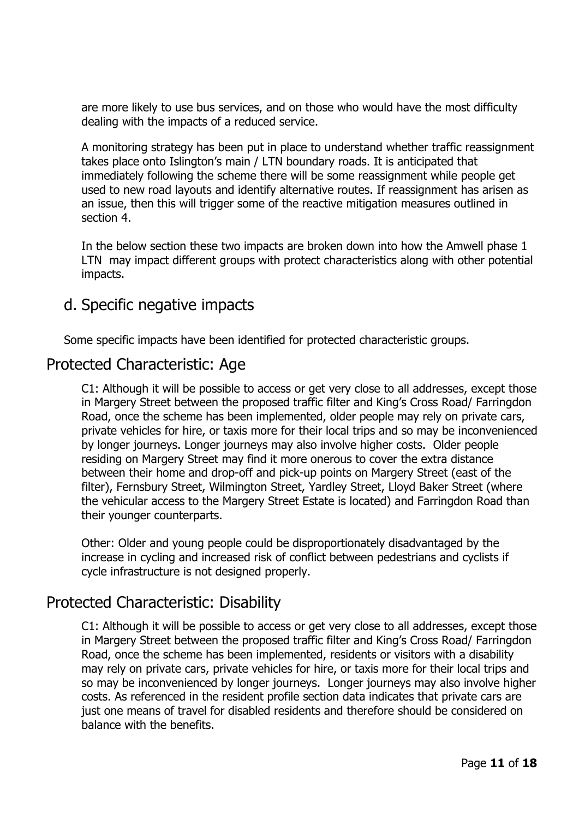are more likely to use bus services, and on those who would have the most difficulty dealing with the impacts of a reduced service.

A monitoring strategy has been put in place to understand whether traffic reassignment takes place onto Islington's main / LTN boundary roads. It is anticipated that immediately following the scheme there will be some reassignment while people get used to new road layouts and identify alternative routes. If reassignment has arisen as an issue, then this will trigger some of the reactive mitigation measures outlined in section 4.

In the below section these two impacts are broken down into how the Amwell phase 1 LTN may impact different groups with protect characteristics along with other potential impacts.

# d. Specific negative impacts

Some specific impacts have been identified for protected characteristic groups.

#### Protected Characteristic: Age

C1: Although it will be possible to access or get very close to all addresses, except those in Margery Street between the proposed traffic filter and King's Cross Road/ Farringdon Road, once the scheme has been implemented, older people may rely on private cars, private vehicles for hire, or taxis more for their local trips and so may be inconvenienced by longer journeys. Longer journeys may also involve higher costs. Older people residing on Margery Street may find it more onerous to cover the extra distance between their home and drop-off and pick-up points on Margery Street (east of the filter), Fernsbury Street, Wilmington Street, Yardley Street, Lloyd Baker Street (where the vehicular access to the Margery Street Estate is located) and Farringdon Road than their younger counterparts.

Other: Older and young people could be disproportionately disadvantaged by the increase in cycling and increased risk of conflict between pedestrians and cyclists if cycle infrastructure is not designed properly.

# Protected Characteristic: Disability

C1: Although it will be possible to access or get very close to all addresses, except those in Margery Street between the proposed traffic filter and King's Cross Road/ Farringdon Road, once the scheme has been implemented, residents or visitors with a disability may rely on private cars, private vehicles for hire, or taxis more for their local trips and so may be inconvenienced by longer journeys. Longer journeys may also involve higher costs. As referenced in the resident profile section data indicates that private cars are just one means of travel for disabled residents and therefore should be considered on balance with the benefits.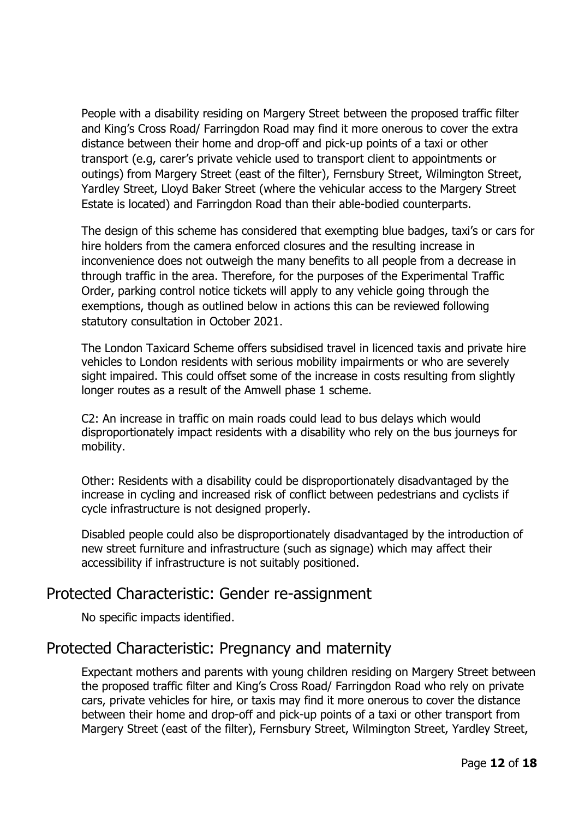People with a disability residing on Margery Street between the proposed traffic filter and King's Cross Road/ Farringdon Road may find it more onerous to cover the extra distance between their home and drop-off and pick-up points of a taxi or other transport (e.g, carer's private vehicle used to transport client to appointments or outings) from Margery Street (east of the filter), Fernsbury Street, Wilmington Street, Yardley Street, Lloyd Baker Street (where the vehicular access to the Margery Street Estate is located) and Farringdon Road than their able-bodied counterparts.

The design of this scheme has considered that exempting blue badges, taxi's or cars for hire holders from the camera enforced closures and the resulting increase in inconvenience does not outweigh the many benefits to all people from a decrease in through traffic in the area. Therefore, for the purposes of the Experimental Traffic Order, parking control notice tickets will apply to any vehicle going through the exemptions, though as outlined below in actions this can be reviewed following statutory consultation in October 2021.

The London Taxicard Scheme offers subsidised travel in licenced taxis and private hire vehicles to London residents with serious mobility impairments or who are severely sight impaired. This could offset some of the increase in costs resulting from slightly longer routes as a result of the Amwell phase 1 scheme.

C2: An increase in traffic on main roads could lead to bus delays which would disproportionately impact residents with a disability who rely on the bus journeys for mobility.

Other: Residents with a disability could be disproportionately disadvantaged by the increase in cycling and increased risk of conflict between pedestrians and cyclists if cycle infrastructure is not designed properly.

Disabled people could also be disproportionately disadvantaged by the introduction of new street furniture and infrastructure (such as signage) which may affect their accessibility if infrastructure is not suitably positioned.

# Protected Characteristic: Gender re-assignment

No specific impacts identified.

# Protected Characteristic: Pregnancy and maternity

Expectant mothers and parents with young children residing on Margery Street between the proposed traffic filter and King's Cross Road/ Farringdon Road who rely on private cars, private vehicles for hire, or taxis may find it more onerous to cover the distance between their home and drop-off and pick-up points of a taxi or other transport from Margery Street (east of the filter), Fernsbury Street, Wilmington Street, Yardley Street,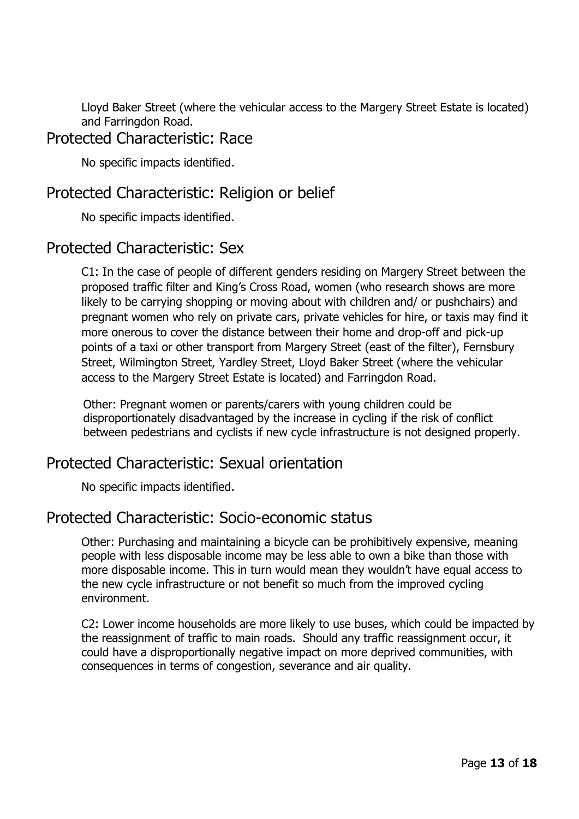Lloyd Baker Street (where the vehicular access to the Margery Street Estate is located) and Farringdon Road.

#### Protected Characteristic: Race

No specific impacts identified.

# Protected Characteristic: Religion or belief

No specific impacts identified.

# Protected Characteristic: Sex

C1: In the case of people of different genders residing on Margery Street between the proposed traffic filter and King's Cross Road, women (who research shows are more likely to be carrying shopping or moving about with children and/ or pushchairs) and pregnant women who rely on private cars, private vehicles for hire, or taxis may find it more onerous to cover the distance between their home and drop-off and pick-up points of a taxi or other transport from Margery Street (east of the filter), Fernsbury Street, Wilmington Street, Yardley Street, Lloyd Baker Street (where the vehicular access to the Margery Street Estate is located) and Farringdon Road.

Other: Pregnant women or parents/carers with young children could be disproportionately disadvantaged by the increase in cycling if the risk of conflict between pedestrians and cyclists if new cycle infrastructure is not designed properly.

# Protected Characteristic: Sexual orientation

No specific impacts identified.

#### Protected Characteristic: Socio-economic status

Other: Purchasing and maintaining a bicycle can be prohibitively expensive, meaning people with less disposable income may be less able to own a bike than those with more disposable income. This in turn would mean they wouldn't have equal access to the new cycle infrastructure or not benefit so much from the improved cycling environment.

C2: Lower income households are more likely to use buses, which could be impacted by the reassignment of traffic to main roads. Should any traffic reassignment occur, it could have a disproportionally negative impact on more deprived communities, with consequences in terms of congestion, severance and air quality.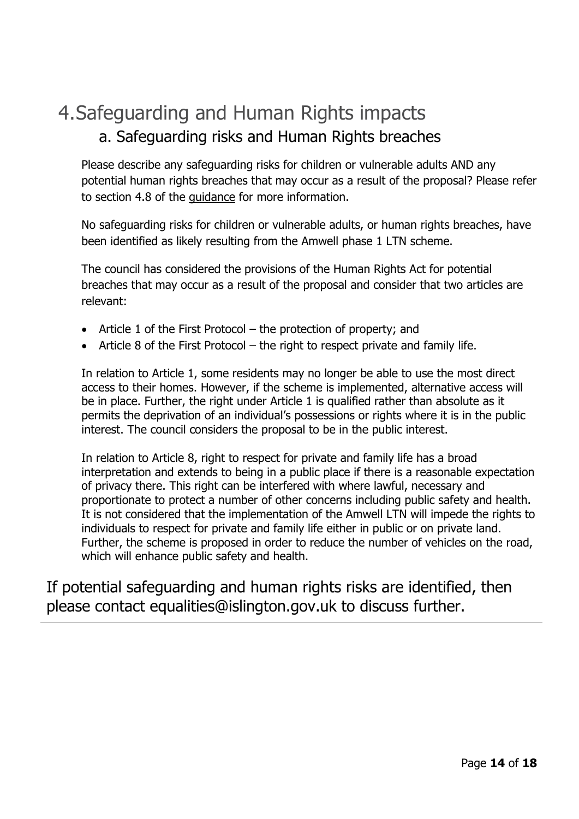# 4.Safeguarding and Human Rights impacts a. Safeguarding risks and Human Rights breaches

Please describe any safeguarding risks for children or vulnerable adults AND any potential human rights breaches that may occur as a result of the proposal? Please refer to section 4.8 of the guidance for more information.

No safeguarding risks for children or vulnerable adults, or human rights breaches, have been identified as likely resulting from the Amwell phase 1 LTN scheme.

The council has considered the provisions of the Human Rights Act for potential breaches that may occur as a result of the proposal and consider that two articles are relevant:

- Article 1 of the First Protocol the protection of property; and
- Article 8 of the First Protocol the right to respect private and family life.

In relation to Article 1, some residents may no longer be able to use the most direct access to their homes. However, if the scheme is implemented, alternative access will be in place. Further, the right under Article 1 is qualified rather than absolute as it permits the deprivation of an individual's possessions or rights where it is in the public interest. The council considers the proposal to be in the public interest.

In relation to Article 8, right to respect for private and family life has a broad interpretation and extends to being in a public place if there is a reasonable expectation of privacy there. This right can be interfered with where lawful, necessary and proportionate to protect a number of other concerns including public safety and health. It is not considered that the implementation of the Amwell LTN will impede the rights to individuals to respect for private and family life either in public or on private land. Further, the scheme is proposed in order to reduce the number of vehicles on the road, which will enhance public safety and health.

If potential safeguarding and human rights risks are identified, then please contact equalities@islington.gov.uk to discuss further.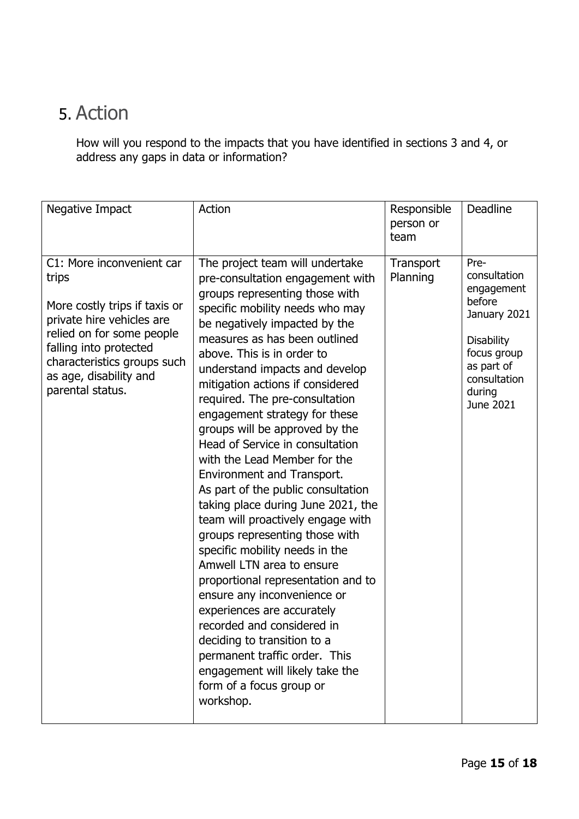# 5. Action

How will you respond to the impacts that you have identified in sections 3 and 4, or address any gaps in data or information?

| Negative Impact                                                                                                                                                                                                                      | Action                                                                                                                                                                                                                                                                                                                                                                                                                                                                                                                                                                                                                                                                                                                                                                                                                                                                                                                                                                                                              | Responsible<br>person or<br>team | <b>Deadline</b>                                                                                                                                       |
|--------------------------------------------------------------------------------------------------------------------------------------------------------------------------------------------------------------------------------------|---------------------------------------------------------------------------------------------------------------------------------------------------------------------------------------------------------------------------------------------------------------------------------------------------------------------------------------------------------------------------------------------------------------------------------------------------------------------------------------------------------------------------------------------------------------------------------------------------------------------------------------------------------------------------------------------------------------------------------------------------------------------------------------------------------------------------------------------------------------------------------------------------------------------------------------------------------------------------------------------------------------------|----------------------------------|-------------------------------------------------------------------------------------------------------------------------------------------------------|
| C1: More inconvenient car<br>trips<br>More costly trips if taxis or<br>private hire vehicles are<br>relied on for some people<br>falling into protected<br>characteristics groups such<br>as age, disability and<br>parental status. | The project team will undertake<br>pre-consultation engagement with<br>groups representing those with<br>specific mobility needs who may<br>be negatively impacted by the<br>measures as has been outlined<br>above. This is in order to<br>understand impacts and develop<br>mitigation actions if considered<br>required. The pre-consultation<br>engagement strategy for these<br>groups will be approved by the<br>Head of Service in consultation<br>with the Lead Member for the<br>Environment and Transport.<br>As part of the public consultation<br>taking place during June 2021, the<br>team will proactively engage with<br>groups representing those with<br>specific mobility needs in the<br>Amwell LTN area to ensure<br>proportional representation and to<br>ensure any inconvenience or<br>experiences are accurately<br>recorded and considered in<br>deciding to transition to a<br>permanent traffic order. This<br>engagement will likely take the<br>form of a focus group or<br>workshop. | Transport<br>Planning            | Pre-<br>consultation<br>engagement<br>before<br>January 2021<br><b>Disability</b><br>focus group<br>as part of<br>consultation<br>during<br>June 2021 |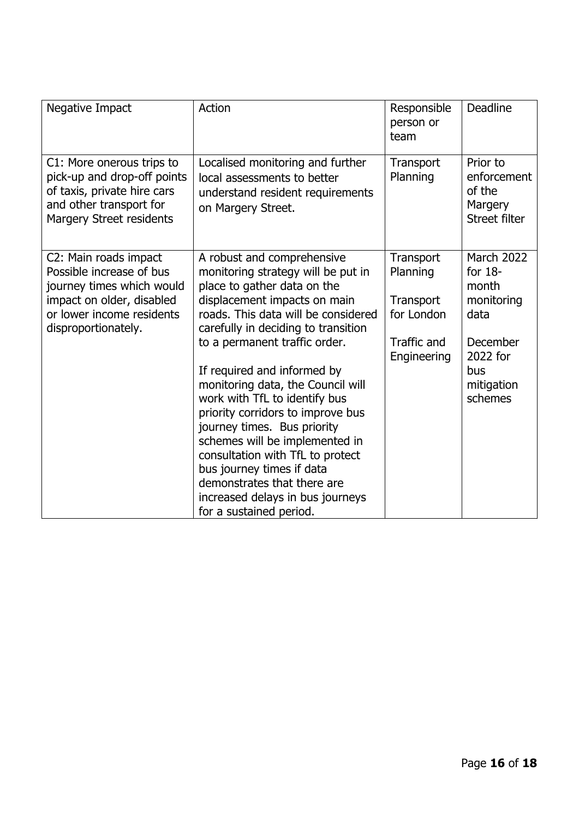| Negative Impact                                                                                                                                                 | Action                                                                                                                                                                                                                                                                                                                                                                                                                                                                                                                                                                                                                   | Responsible<br>person or<br>team                                                      | <b>Deadline</b>                                                                                                       |
|-----------------------------------------------------------------------------------------------------------------------------------------------------------------|--------------------------------------------------------------------------------------------------------------------------------------------------------------------------------------------------------------------------------------------------------------------------------------------------------------------------------------------------------------------------------------------------------------------------------------------------------------------------------------------------------------------------------------------------------------------------------------------------------------------------|---------------------------------------------------------------------------------------|-----------------------------------------------------------------------------------------------------------------------|
| C1: More onerous trips to<br>pick-up and drop-off points<br>of taxis, private hire cars<br>and other transport for<br>Margery Street residents                  | Localised monitoring and further<br>local assessments to better<br>understand resident requirements<br>on Margery Street.                                                                                                                                                                                                                                                                                                                                                                                                                                                                                                | Transport<br>Planning                                                                 | Prior to<br>enforcement<br>of the<br>Margery<br><b>Street filter</b>                                                  |
| C2: Main roads impact<br>Possible increase of bus<br>journey times which would<br>impact on older, disabled<br>or lower income residents<br>disproportionately. | A robust and comprehensive<br>monitoring strategy will be put in<br>place to gather data on the<br>displacement impacts on main<br>roads. This data will be considered<br>carefully in deciding to transition<br>to a permanent traffic order.<br>If required and informed by<br>monitoring data, the Council will<br>work with TfL to identify bus<br>priority corridors to improve bus<br>journey times. Bus priority<br>schemes will be implemented in<br>consultation with TfL to protect<br>bus journey times if data<br>demonstrates that there are<br>increased delays in bus journeys<br>for a sustained period. | Transport<br>Planning<br>Transport<br>for London<br><b>Traffic and</b><br>Engineering | <b>March 2022</b><br>for $18-$<br>month<br>monitoring<br>data<br>December<br>2022 for<br>bus<br>mitigation<br>schemes |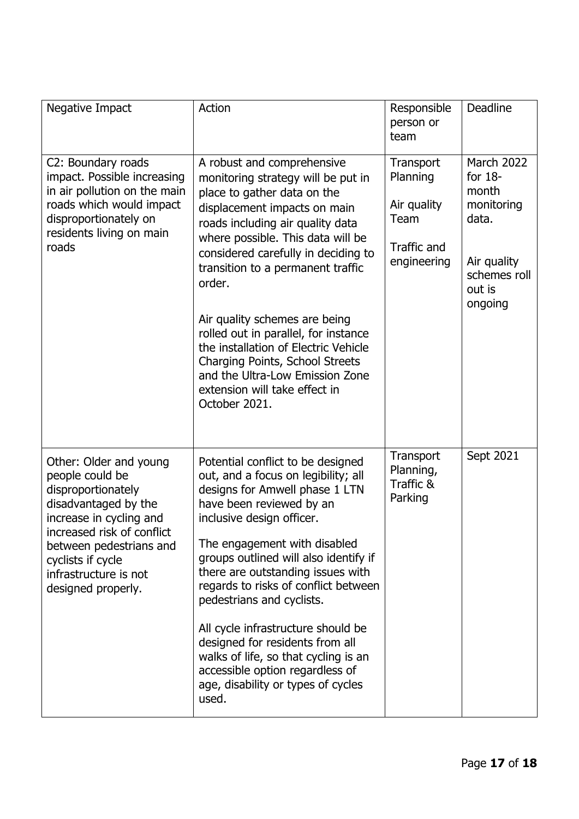| Negative Impact                                                                                                                                                                                                                                 | Action                                                                                                                                                                                                                                                                                                                                                                                                                                                                                                                                                    | Responsible<br>person or<br>team                                           | <b>Deadline</b>                                                                                                    |
|-------------------------------------------------------------------------------------------------------------------------------------------------------------------------------------------------------------------------------------------------|-----------------------------------------------------------------------------------------------------------------------------------------------------------------------------------------------------------------------------------------------------------------------------------------------------------------------------------------------------------------------------------------------------------------------------------------------------------------------------------------------------------------------------------------------------------|----------------------------------------------------------------------------|--------------------------------------------------------------------------------------------------------------------|
| C2: Boundary roads<br>impact. Possible increasing<br>in air pollution on the main<br>roads which would impact<br>disproportionately on<br>residents living on main<br>roads                                                                     | A robust and comprehensive<br>monitoring strategy will be put in<br>place to gather data on the<br>displacement impacts on main<br>roads including air quality data<br>where possible. This data will be<br>considered carefully in deciding to<br>transition to a permanent traffic<br>order.<br>Air quality schemes are being<br>rolled out in parallel, for instance<br>the installation of Electric Vehicle<br>Charging Points, School Streets<br>and the Ultra-Low Emission Zone<br>extension will take effect in<br>October 2021.                   | Transport<br>Planning<br>Air quality<br>Team<br>Traffic and<br>engineering | <b>March 2022</b><br>for $18-$<br>month<br>monitoring<br>data.<br>Air quality<br>schemes roll<br>out is<br>ongoing |
| Other: Older and young<br>people could be<br>disproportionately<br>disadvantaged by the<br>increase in cycling and<br>increased risk of conflict<br>between pedestrians and<br>cyclists if cycle<br>infrastructure is not<br>designed properly. | Potential conflict to be designed<br>out, and a focus on legibility; all<br>designs for Amwell phase 1 LTN<br>have been reviewed by an<br>inclusive design officer.<br>The engagement with disabled<br>groups outlined will also identify if<br>there are outstanding issues with<br>regards to risks of conflict between<br>pedestrians and cyclists.<br>All cycle infrastructure should be<br>designed for residents from all<br>walks of life, so that cycling is an<br>accessible option regardless of<br>age, disability or types of cycles<br>used. | Transport<br>Planning,<br>Traffic &<br>Parking                             | Sept 2021                                                                                                          |